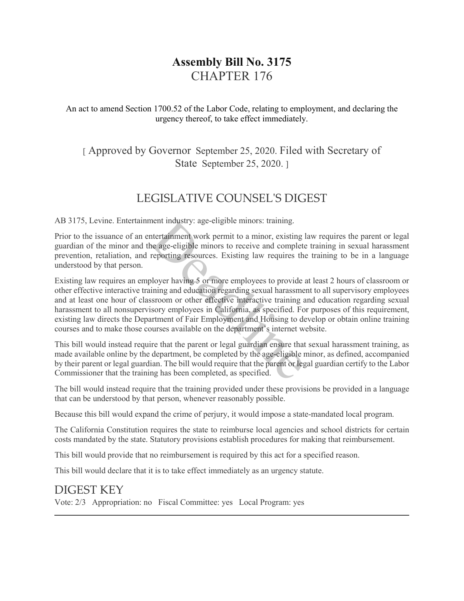# **Assembly Bill No. 3175** CHAPTER 176

An act to amend Section 1700.52 of the Labor Code, relating to employment, and declaring the urgency thereof, to take effect immediately.

## [ Approved by Governor September 25, 2020. Filed with Secretary of State September 25, 2020.

# LEGISLATIVE COUNSEL'S DIGEST

AB 3175, Levine. Entertainment industry: age-eligible minors: training.

Prior to the issuance of an entertainment work permit to a minor, existing law requires the parent or legal guardian of the minor and the age-eligible minors to receive and complete training in sexual harassment prevention, retaliation, and reporting resources. Existing law requires the training to be in a language understood by that person.

Existing law requires an employer having 5 or more employees to provide at least 2 hours of classroom or other effective interactive training and education regarding sexual harassment to all supervisory employees and at least one hour of classroom or other effective interactive training and education regarding sexual harassment to all nonsupervisory employees in California, as specified. For purposes of this requirement, existing law directs the Department of Fair Employment and Housing to develop or obtain online training courses and to make those courses available on the department's internet website. ment industry: age-eligible minors: training.<br>
Intertainment work permit to a minor, existing<br>
ie age-eligible minors to receive and complet<br>
reporting resources. Existing law requires the<br>
bloyer having 5 or more employee

This bill would instead require that the parent or legal guardian ensure that sexual harassment training, as made available online by the department, be completed by the age-eligible minor, as defined, accompanied by their parent or legal guardian. The bill would require that the parent or legal guardian certify to the Labor Commissioner that the training has been completed, as specified.

The bill would instead require that the training provided under these provisions be provided in a language that can be understood by that person, whenever reasonably possible.

Because this bill would expand the crime of perjury, it would impose a state-mandated local program.

The California Constitution requires the state to reimburse local agencies and school districts for certain costs mandated by the state. Statutory provisions establish procedures for making that reimbursement.

This bill would provide that no reimbursement is required by this act for a specified reason.

This bill would declare that it is to take effect immediately as an urgency statute.

## DIGEST KEY

Vote: 2/3 Appropriation: no Fiscal Committee: yes Local Program: yes